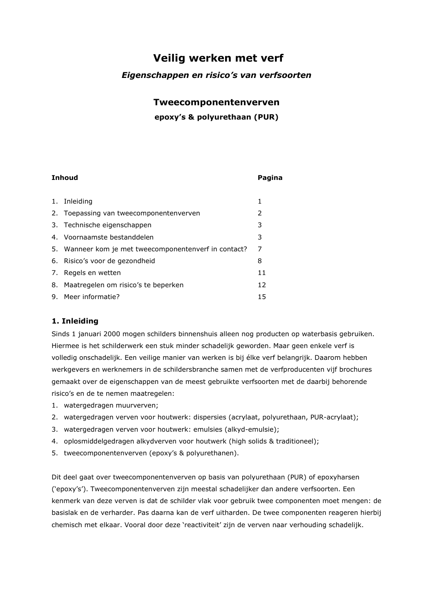# Veilig werken met verf

## Eigenschappen en risico's van verfsoorten

## Tweecomponentenverven

## epoxy's & polyurethaan (PUR)

| Inhoud |                                                       | Pagina |
|--------|-------------------------------------------------------|--------|
|        |                                                       |        |
|        | 1. Inleiding                                          | 1      |
|        | 2. Toepassing van tweecomponentenverven               | 2      |
|        | 3. Technische eigenschappen                           | 3      |
|        | 4. Voornaamste bestanddelen                           | 3      |
|        | 5. Wanneer kom je met tweecomponentenverf in contact? | 7      |
|        | 6. Risico's voor de gezondheid                        | 8      |
|        | 7. Regels en wetten                                   | 11     |
|        | 8. Maatregelen om risico's te beperken                | 12     |
|        | 9. Meer informatie?                                   | 15     |

## 1. Inleiding

 $\sim$   $\sim$ 

Sinds 1 januari 2000 mogen schilders binnenshuis alleen nog producten op waterbasis gebruiken. Hiermee is het schilderwerk een stuk minder schadelijk geworden. Maar geen enkele verf is volledig onschadelijk. Een veilige manier van werken is bij élke verf belangrijk. Daarom hebben werkgevers en werknemers in de schildersbranche samen met de verfproducenten vijf brochures gemaakt over de eigenschappen van de meest gebruikte verfsoorten met de daarbij behorende risico's en de te nemen maatregelen:

- 1. watergedragen muurverven;
- 2. watergedragen verven voor houtwerk: dispersies (acrylaat, polyurethaan, PUR-acrylaat);
- 3. watergedragen verven voor houtwerk: emulsies (alkyd-emulsie);
- 4. oplosmiddelgedragen alkydverven voor houtwerk (high solids & traditioneel);
- 5. tweecomponentenverven (epoxy's & polyurethanen).

Dit deel gaat over tweecomponentenverven op basis van polyurethaan (PUR) of epoxyharsen ('epoxy's'). Tweecomponentenverven zijn meestal schadelijker dan andere verfsoorten. Een kenmerk van deze verven is dat de schilder vlak voor gebruik twee componenten moet mengen: de basislak en de verharder. Pas daarna kan de verf uitharden. De twee componenten reageren hierbij chemisch met elkaar. Vooral door deze 'reactiviteit' zijn de verven naar verhouding schadelijk.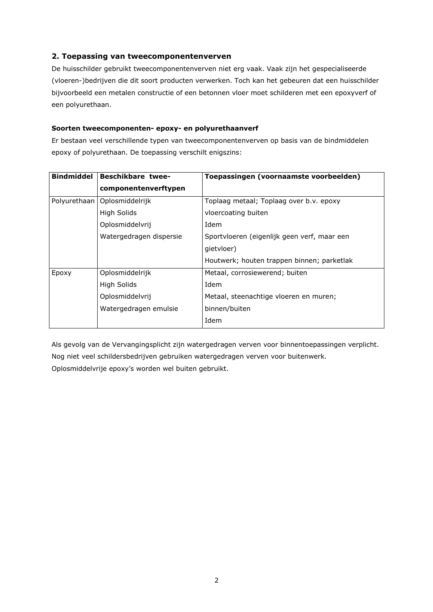## 2. Toepassing van tweecomponentenverven

De huisschilder gebruikt tweecomponentenverven niet erg vaak. Vaak zijn het gespecialiseerde (vloeren-)bedrijven die dit soort producten verwerken. Toch kan het gebeuren dat een huisschilder bijvoorbeeld een metalen constructie of een betonnen vloer moet schilderen met een epoxyverf of een polyurethaan.

### Soorten tweecomponenten- epoxy- en polyurethaanverf

Er bestaan veel verschillende typen van tweecomponentenverven op basis van de bindmiddelen epoxy of polyurethaan. De toepassing verschilt enigszins:

| <b>Bindmiddel</b>        | <b>Beschikbare twee-</b> | Toepassingen (voornaamste voorbeelden)      |  |
|--------------------------|--------------------------|---------------------------------------------|--|
|                          | componentenverftypen     |                                             |  |
| Polyurethaan             | Oplosmiddelrijk          | Toplaag metaal; Toplaag over b.v. epoxy     |  |
|                          | High Solids              | vloercoating buiten                         |  |
|                          | Oplosmiddelvrij          | Idem                                        |  |
|                          | Watergedragen dispersie  | Sportvloeren (eigenlijk geen verf, maar een |  |
|                          |                          | qietyloer)                                  |  |
|                          |                          | Houtwerk; houten trappen binnen; parketlak  |  |
| Oplosmiddelrijk<br>Epoxy |                          | Metaal, corrosiewerend; buiten              |  |
|                          | High Solids              | Idem                                        |  |
|                          | Oplosmiddelvrij          | Metaal, steenachtige vloeren en muren;      |  |
|                          | Watergedragen emulsie    | binnen/buiten                               |  |
|                          |                          | Idem                                        |  |

Als gevolg van de Vervangingsplicht zijn watergedragen verven voor binnentoepassingen verplicht. Nog niet veel schildersbedrijven gebruiken watergedragen verven voor buitenwerk. Oplosmiddelvrije epoxy's worden wel buiten gebruikt.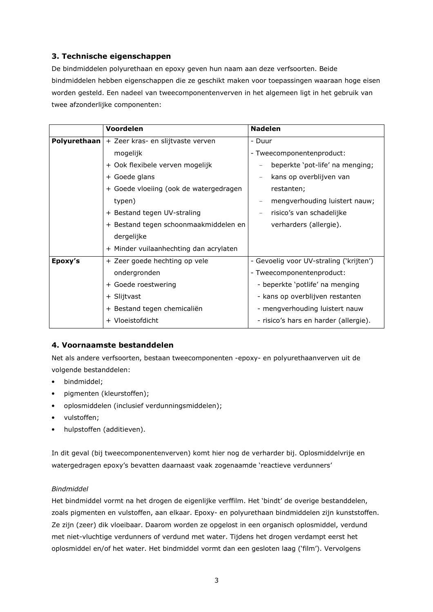## 3. Technische eigenschappen

De bindmiddelen polyurethaan en epoxy geven hun naam aan deze verfsoorten. Beide bindmiddelen hebben eigenschappen die ze geschikt maken voor toepassingen waaraan hoge eisen worden gesteld. Een nadeel van tweecomponentenverven in het algemeen ligt in het gebruik van twee afzonderlijke componenten:

|              | Voordelen                              | <b>Nadelen</b>                          |  |
|--------------|----------------------------------------|-----------------------------------------|--|
| Polyurethaan | + Zeer kras- en slijtvaste verven      | - Duur                                  |  |
|              | mogelijk                               | - Tweecomponentenproduct:               |  |
|              | + Ook flexibele verven mogelijk        | beperkte 'pot-life' na menging;         |  |
|              | + Goede glans                          | kans op overblijven van                 |  |
|              | + Goede vloeiing (ook de watergedragen | restanten;                              |  |
|              | typen)                                 | mengverhouding luistert nauw;           |  |
|              | + Bestand tegen UV-straling            | risico's van schadelijke                |  |
|              | + Bestand tegen schoonmaakmiddelen en  | verharders (allergie).                  |  |
|              | dergelijke                             |                                         |  |
|              | + Minder vuilaanhechting dan acrylaten |                                         |  |
| Epoxy's      | + Zeer goede hechting op vele          | - Gevoelig voor UV-straling ('krijten') |  |
|              | ondergronden                           | - Tweecomponentenproduct:               |  |
|              | + Goede roestwering                    | - beperkte 'potlife' na menging         |  |
|              | + Slijtvast                            | - kans op overblijven restanten         |  |
|              | + Bestand tegen chemicaliën            | - mengverhouding luistert nauw          |  |
|              | + Vloeistofdicht                       | - risico's hars en harder (allergie).   |  |

## 4. Voornaamste bestanddelen

Net als andere verfsoorten, bestaan tweecomponenten -epoxy- en polyurethaanverven uit de volgende bestanddelen:

- bindmiddel;  $\bullet$
- pigmenten (kleurstoffen);
- oplosmiddelen (inclusief verdunningsmiddelen);
- · vulstoffen;
- hulpstoffen (additieven).  $\bullet$

In dit geval (bij tweecomponentenverven) komt hier nog de verharder bij. Oplosmiddelvrije en watergedragen epoxy's bevatten daarnaast vaak zogenaamde 'reactieve verdunners'

## Bindmiddel

Het bindmiddel vormt na het drogen de eigenlijke verffilm. Het 'bindt' de overige bestanddelen, zoals pigmenten en vulstoffen, aan elkaar. Epoxy- en polyurethaan bindmiddelen zijn kunststoffen. Ze zijn (zeer) dik vloeibaar. Daarom worden ze opgelost in een organisch oplosmiddel, verdund met niet-vluchtige verdunners of verdund met water. Tijdens het drogen verdampt eerst het oplosmiddel en/of het water. Het bindmiddel vormt dan een gesloten laag ('film'). Vervolgens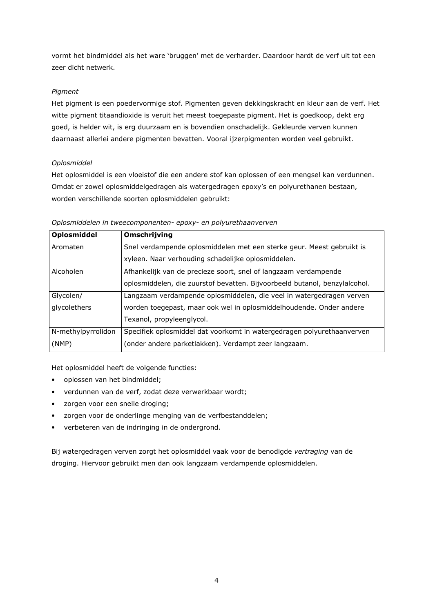vormt het bindmiddel als het ware 'bruggen' met de verharder. Daardoor hardt de verf uit tot een zeer dicht netwerk.

## Pigment

Het pigment is een poedervormige stof. Pigmenten geven dekkingskracht en kleur aan de verf. Het witte pigment titaandioxide is veruit het meest toegepaste pigment. Het is goedkoop, dekt erg goed, is helder wit, is erg duurzaam en is bovendien onschadelijk. Gekleurde verven kunnen daarnaast allerlei andere pigmenten bevatten. Vooral ijzerpigmenten worden veel gebruikt.

### Oplosmiddel

Het oplosmiddel is een vloeistof die een andere stof kan oplossen of een mengsel kan verdunnen. Omdat er zowel oplosmiddelgedragen als watergedragen epoxy's en polyurethanen bestaan, worden verschillende soorten oplosmiddelen gebruikt:

### Oplosmiddelen in tweecomponenten- epoxy- en polyurethaanverven

| Oplosmiddel        | Omschrijving                                                               |  |
|--------------------|----------------------------------------------------------------------------|--|
| Aromaten           | Snel verdampende oplosmiddelen met een sterke geur. Meest gebruikt is      |  |
|                    | xyleen. Naar verhouding schadelijke oplosmiddelen.                         |  |
| Alcoholen          | Afhankelijk van de precieze soort, snel of langzaam verdampende            |  |
|                    | oplosmiddelen, die zuurstof bevatten. Bijvoorbeeld butanol, benzylalcohol. |  |
| Glycolen/          | Langzaam verdampende oplosmiddelen, die veel in watergedragen verven       |  |
| glycolethers       | worden toegepast, maar ook wel in oplosmiddelhoudende. Onder andere        |  |
|                    | Texanol, propyleenglycol.                                                  |  |
| N-methylpyrrolidon | Specifiek oplosmiddel dat voorkomt in watergedragen polyurethaanverven     |  |
| (NMP)              | (onder andere parketlakken). Verdampt zeer langzaam.                       |  |

Het oplosmiddel heeft de volgende functies:

- oplossen van het bindmiddel:  $\bullet$
- verdunnen van de verf, zodat deze verwerkbaar wordt;
- zorgen voor een snelle droging;  $\bullet$
- zorgen voor de onderlinge menging van de verfbestanddelen;  $\bullet$
- verbeteren van de indringing in de ondergrond.

Bij watergedragen verven zorgt het oplosmiddel vaak voor de benodigde vertraging van de droging. Hiervoor gebruikt men dan ook langzaam verdampende oplosmiddelen.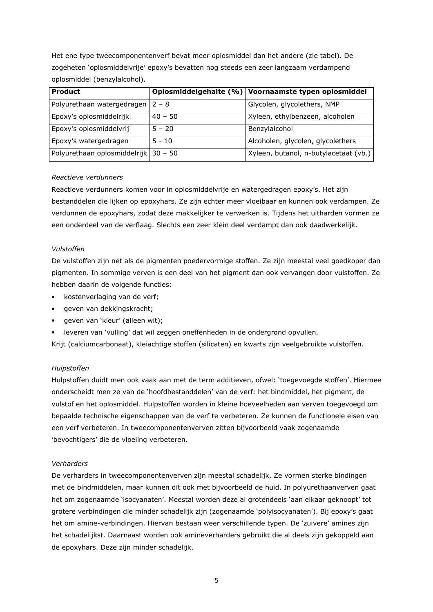Het ene type tweecomponentenverf bevat meer oplosmiddel dan het andere (zie tabel). De zogeheten 'oplosmiddelvrije' epoxy's bevatten nog steeds een zeer langzaam verdampend oplosmiddel (benzylalcohol).

| <b>Product</b>                         |           | Oplosmiddelgehalte (%) Voornaamste typen oplosmiddel |
|----------------------------------------|-----------|------------------------------------------------------|
| Polyurethaan watergedragen             | $2 - 8$   | Glycolen, glycolethers, NMP                          |
| Epoxy's oplosmiddelrijk                | $40 - 50$ | Xyleen, ethylbenzeen, alcoholen                      |
| Epoxy's oplosmiddelvrij                | $5 - 20$  | Benzylalcohol                                        |
| Epoxy's watergedragen                  | $5 - 10$  | Alcoholen, glycolen, glycolethers                    |
| Polyurethaan oplosmiddelrijk   30 - 50 |           | Xyleen, butanol, n-butylacetaat (vb.)                |

### Reactieve verdunners

Reactieve verdunners komen voor in oplosmiddelvrije en watergedragen epoxy's. Het zijn bestanddelen die lijken op epoxyhars. Ze zijn echter meer vloeibaar en kunnen ook verdampen. Ze verdunnen de epoxyhars, zodat deze makkelijker te verwerken is. Tijdens het uitharden vormen ze een onderdeel van de verflaag. Slechts een zeer klein deel verdampt dan ook daadwerkelijk.

#### Vulstoffen

De vulstoffen zijn net als de pigmenten poedervormige stoffen. Ze zijn meestal veel goedkoper dan pigmenten. In sommige verven is een deel van het pigment dan ook vervangen door vulstoffen. Ze hebben daarin de volgende functies:

- kostenverlaging van de verf;
- geven van dekkingskracht;  $\bullet$
- geven van 'kleur' (alleen wit);
- leveren van 'vulling' dat wil zeggen oneffenheden in de ondergrond opvullen.

Krijt (calciumcarbonaat), kleiachtige stoffen (silicaten) en kwarts zijn veelgebruikte vulstoffen.

#### Hulpstoffen

Hulpstoffen duidt men ook vaak aan met de term additieven, ofwel: 'toegevoegde stoffen'. Hiermee onderscheidt men ze van de 'hoofdbestanddelen' van de verf: het bindmiddel, het pigment, de vulstof en het oplosmiddel. Hulpstoffen worden in kleine hoeveelheden aan verven toegevoegd om bepaalde technische eigenschappen van de verf te verbeteren. Ze kunnen de functionele eisen van een verf verbeteren. In tweecomponentenverven zitten bijvoorbeeld vaak zogenaamde 'bevochtigers' die de vloeiing verbeteren.

#### Verharders

De verharders in tweecomponentenverven zijn meestal schadelijk. Ze vormen sterke bindingen met de bindmiddelen, maar kunnen dit ook met bijvoorbeeld de huid. In polyurethaanverven gaat het om zogenaamde 'isocyanaten'. Meestal worden deze al grotendeels 'aan elkaar geknoopt' tot grotere verbindingen die minder schadelijk zijn (zogenaamde 'polyisocyanaten'). Bij epoxy's gaat het om amine-verbindingen. Hiervan bestaan weer verschillende typen. De 'zuivere' amines zijn het schadelijkst. Daarnaast worden ook amineverharders gebruikt die al deels zijn gekoppeld aan de epoxyhars. Deze zijn minder schadelijk.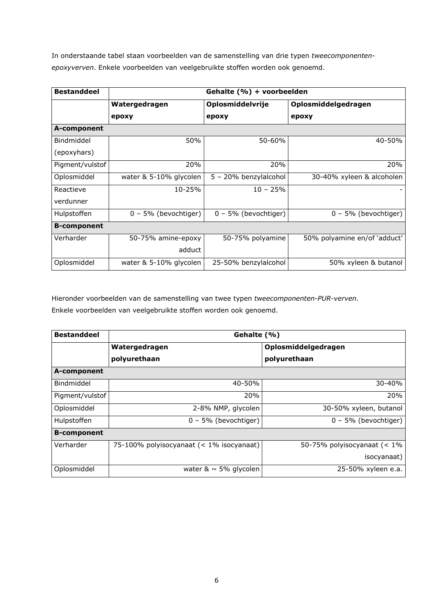In onderstaande tabel staan voorbeelden van de samenstelling van drie typen tweecomponentenepoxyverven. Enkele voorbeelden van veelgebruikte stoffen worden ook genoemd.

| <b>Bestanddeel</b> | Gehalte (%) + voorbeelden |                        |                              |  |
|--------------------|---------------------------|------------------------|------------------------------|--|
|                    | Watergedragen             | Oplosmiddelvrije       | Oplosmiddelgedragen          |  |
|                    | epoxy                     | epoxy                  | epoxy                        |  |
| A-component        |                           |                        |                              |  |
| Bindmiddel         | 50%                       | 50-60%                 | 40-50%                       |  |
| (epoxyhars)        |                           |                        |                              |  |
| Pigment/vulstof    | 20%                       | 20%                    | 20%                          |  |
| Oplosmiddel        | water & 5-10% glycolen    | 5 - 20% benzylalcohol  | 30-40% xyleen & alcoholen    |  |
| Reactieve          | 10-25%                    | $10 - 25%$             |                              |  |
| verdunner          |                           |                        |                              |  |
| Hulpstoffen        | $0 - 5%$ (bevochtiger)    | $0 - 5%$ (bevochtiger) | $0 - 5%$ (bevochtiger)       |  |
| <b>B-component</b> |                           |                        |                              |  |
| Verharder          | 50-75% amine-epoxy        | 50-75% polyamine       | 50% polyamine en/of 'adduct' |  |
|                    | adduct                    |                        |                              |  |
| Oplosmiddel        | water & 5-10% glycolen    | 25-50% benzylalcohol   | 50% xyleen & butanol         |  |

Hieronder voorbeelden van de samenstelling van twee typen tweecomponenten-PUR-verven. Enkele voorbeelden van veelgebruikte stoffen worden ook genoemd.

| <b>Bestanddeel</b> | Gehalte (%)                              |                                |  |  |  |
|--------------------|------------------------------------------|--------------------------------|--|--|--|
|                    | Watergedragen                            | Oplosmiddelgedragen            |  |  |  |
|                    | polyurethaan                             | polyurethaan                   |  |  |  |
| A-component        |                                          |                                |  |  |  |
| Bindmiddel         | 40-50%                                   | 30-40%                         |  |  |  |
| Pigment/vulstof    | 20%                                      | 20%                            |  |  |  |
| Oplosmiddel        | 2-8% NMP, glycolen                       | 30-50% xyleen, butanol         |  |  |  |
| Hulpstoffen        | 0 - 5% (bevochtiger)                     | $0 - 5%$ (bevochtiger)         |  |  |  |
| <b>B-component</b> |                                          |                                |  |  |  |
| Verharder          | 75-100% polyisocyanaat (< 1% isocyanaat) | 50-75% polyisocyanaat $(< 1\%$ |  |  |  |
|                    |                                          | isocyanaat)                    |  |  |  |
| Oplosmiddel        | water $\& \sim 5\%$ glycolen             | 25-50% xyleen e.a.             |  |  |  |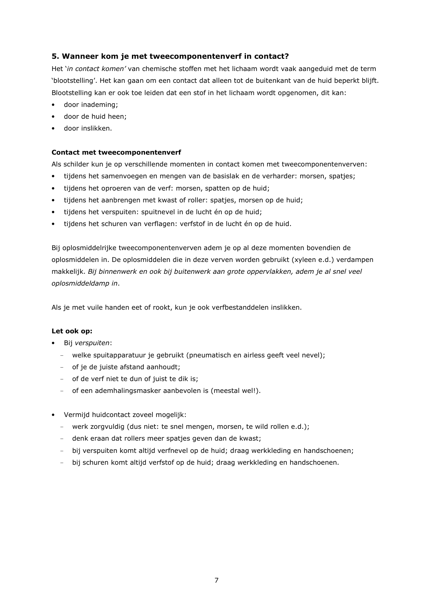## 5. Wanneer kom je met tweecomponentenverf in contact?

Het 'in contact komen' van chemische stoffen met het lichaam wordt vaak aangeduid met de term 'blootstelling'. Het kan gaan om een contact dat alleen tot de buitenkant van de huid beperkt blijft. Blootstelling kan er ook toe leiden dat een stof in het lichaam wordt opgenomen, dit kan:

- door inademing;
- door de huid heen:
- door inslikken.

#### **Contact met tweecomponentenverf**

Als schilder kun je op verschillende momenten in contact komen met tweecomponentenverven:

- $\bullet$ tijdens het samenvoegen en mengen van de basislak en de verharder: morsen, spatjes;
- tijdens het oproeren van de verf: morsen, spatten op de huid;
- tijdens het aanbrengen met kwast of roller: spatjes, morsen op de huid;
- tijdens het verspuiten: spuitnevel in de lucht én op de huid;
- tijdens het schuren van verflagen: verfstof in de lucht én op de huid.  $\bullet$

Bij oplosmiddelrijke tweecomponentenverven adem je op al deze momenten bovendien de oplosmiddelen in. De oplosmiddelen die in deze verven worden gebruikt (xyleen e.d.) verdampen makkelijk. Bij binnenwerk en ook bij buitenwerk aan grote oppervlakken, adem je al snel veel oplosmiddeldamp in.

Als je met vuile handen eet of rookt, kun je ook verfbestanddelen inslikken.

#### Let ook op:

- · Bij verspuiten:
	- welke spuitapparatuur je gebruikt (pneumatisch en airless geeft veel nevel);
	- of je de juiste afstand aanhoudt;
	- of de verf niet te dun of juist te dik is;
	- of een ademhalingsmasker aanbevolen is (meestal wel!).
- Vermijd huidcontact zoveel mogelijk:
	- werk zorgvuldig (dus niet: te snel mengen, morsen, te wild rollen e.d.);
	- denk eraan dat rollers meer spatjes geven dan de kwast;
	- bij verspuiten komt altijd verfnevel op de huid; draag werkkleding en handschoenen;
	- bij schuren komt altijd verfstof op de huid; draag werkkleding en handschoenen.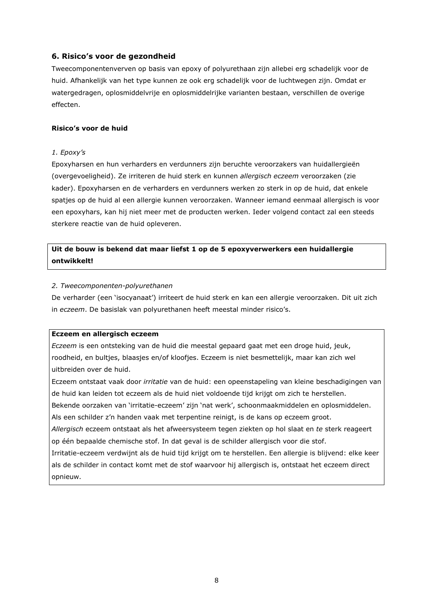## 6. Risico's voor de gezondheid

Tweecomponentenverven op basis van epoxy of polyurethaan zijn allebei erg schadelijk voor de huid. Afhankelijk van het type kunnen ze ook erg schadelijk voor de luchtwegen zijn. Omdat er watergedragen, oplosmiddelvrije en oplosmiddelrijke varianten bestaan, verschillen de overige effecten.

#### Risico's voor de huid

#### 1. Epoxy's

Epoxyharsen en hun verharders en verdunners zijn beruchte veroorzakers van huidallergieën (overgevoeligheid). Ze irriteren de huid sterk en kunnen allergisch eczeem veroorzaken (zie kader). Epoxyharsen en de verharders en verdunners werken zo sterk in op de huid, dat enkele spatjes op de huid al een allergie kunnen veroorzaken. Wanneer iemand eenmaal allergisch is voor een epoxyhars, kan hij niet meer met de producten werken. Ieder volgend contact zal een steeds sterkere reactie van de huid opleveren.

## Uit de bouw is bekend dat maar liefst 1 op de 5 epoxyverwerkers een huidallergie ontwikkelt!

#### 2. Tweecomponenten-polyurethanen

De verharder (een 'isocyanaat') irriteert de huid sterk en kan een allergie veroorzaken. Dit uit zich in eczeem. De basislak van polyurethanen heeft meestal minder risico's.

#### Eczeem en allergisch eczeem

Eczeem is een ontsteking van de huid die meestal gepaard gaat met een droge huid, jeuk, roodheid, en bultjes, blaasjes en/of kloofjes. Eczeem is niet besmettelijk, maar kan zich wel uitbreiden over de huid.

Eczeem ontstaat vaak door irritatie van de huid: een opeenstapeling van kleine beschadigingen van de huid kan leiden tot eczeem als de huid niet voldoende tijd krijgt om zich te herstellen.

Bekende oorzaken van 'irritatie-eczeem' zijn 'nat werk', schoonmaakmiddelen en oplosmiddelen.

Als een schilder z'n handen vaak met terpentine reinigt, is de kans op eczeem groot.

Allergisch eczeem ontstaat als het afweersysteem tegen ziekten op hol slaat en te sterk reageert op één bepaalde chemische stof. In dat geval is de schilder allergisch voor die stof.

Irritatie-eczeem verdwijnt als de huid tijd krijgt om te herstellen. Een allergie is blijvend: elke keer als de schilder in contact komt met de stof waarvoor hij allergisch is, ontstaat het eczeem direct opnieuw.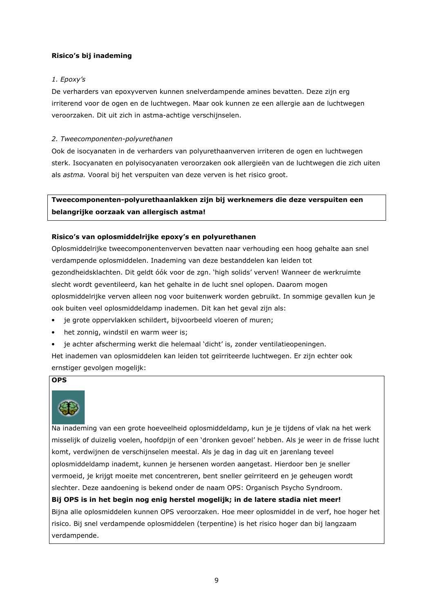### Risico's bij inademing

### 1. Epoxy's

De verharders van epoxyverven kunnen snelverdampende amines bevatten. Deze zijn erg irriterend voor de ogen en de luchtwegen. Maar ook kunnen ze een allergie aan de luchtwegen veroorzaken. Dit uit zich in astma-achtige verschijnselen.

### 2. Tweecomponenten-polyurethanen

Ook de isocyanaten in de verharders van polyurethaanverven irriteren de ogen en luchtwegen sterk. Isocyanaten en polyisocyanaten veroorzaken ook allergieën van de luchtwegen die zich uiten als astma. Vooral bij het verspuiten van deze verven is het risico groot.

## Tweecomponenten-polvurethaanlakken zijn bij werknemers die deze verspuiten een belangrijke oorzaak van allergisch astma!

### Risico's van oplosmiddelrijke epoxy's en polyurethanen

Oplosmiddelrijke tweecomponentenverven bevatten naar verhouding een hoog gehalte aan snel verdampende oplosmiddelen. Inademing van deze bestanddelen kan leiden tot gezondheidsklachten. Dit geldt óók voor de zgn. 'high solids' verven! Wanneer de werkruimte slecht wordt geventileerd, kan het gehalte in de lucht snel oplopen. Daarom mogen oplosmiddelrijke verven alleen nog voor buitenwerk worden gebruikt. In sommige gevallen kun je ook buiten veel oplosmiddeldamp inademen. Dit kan het geval zijn als:

- je grote oppervlakken schildert, bijvoorbeeld vloeren of muren;
- het zonnig, windstil en warm weer is;  $\bullet$
- je achter afscherming werkt die helemaal 'dicht' is, zonder ventilatieopeningen.

Het inademen van oplosmiddelen kan leiden tot geïrriteerde luchtwegen. Er zijn echter ook ernstiger gevolgen mogelijk:

### **OPS**



Na inademing van een grote hoeveelheid oplosmiddeldamp, kun je je tijdens of vlak na het werk misselijk of duizelig voelen, hoofdpijn of een 'dronken gevoel' hebben. Als je weer in de frisse lucht komt, verdwijnen de verschijnselen meestal. Als je dag in dag uit en jarenlang teveel oplosmiddeldamp inademt, kunnen je hersenen worden aangetast. Hierdoor ben je sneller vermoeid, je krijgt moeite met concentreren, bent sneller geïrriteerd en je geheugen wordt slechter. Deze aandoening is bekend onder de naam OPS: Organisch Psycho Syndroom.

### Bij OPS is in het begin nog enig herstel mogelijk; in de latere stadia niet meer!

Bijna alle oplosmiddelen kunnen OPS veroorzaken. Hoe meer oplosmiddel in de verf, hoe hoger het risico. Bij snel verdampende oplosmiddelen (terpentine) is het risico hoger dan bij langzaam verdampende.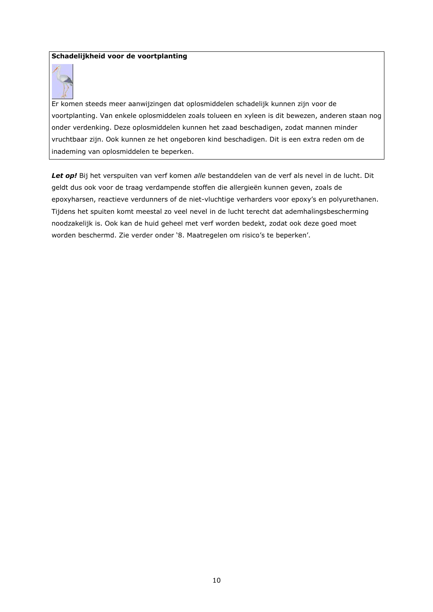### Schadelijkheid voor de voortplanting



Er komen steeds meer aanwijzingen dat oplosmiddelen schadelijk kunnen zijn voor de voortplanting. Van enkele oplosmiddelen zoals tolueen en xyleen is dit bewezen, anderen staan nog onder verdenking. Deze oplosmiddelen kunnen het zaad beschadigen, zodat mannen minder vruchtbaar zijn. Ook kunnen ze het ongeboren kind beschadigen. Dit is een extra reden om de inademing van oplosmiddelen te beperken.

Let op! Bij het verspuiten van verf komen alle bestanddelen van de verf als nevel in de lucht. Dit geldt dus ook voor de traag verdampende stoffen die allergieën kunnen geven, zoals de epoxyharsen, reactieve verdunners of de niet-vluchtige verharders voor epoxy's en polyurethanen. Tijdens het spuiten komt meestal zo veel nevel in de lucht terecht dat ademhalingsbescherming noodzakelijk is. Ook kan de huid geheel met verf worden bedekt, zodat ook deze goed moet worden beschermd. Zie verder onder '8. Maatregelen om risico's te beperken'.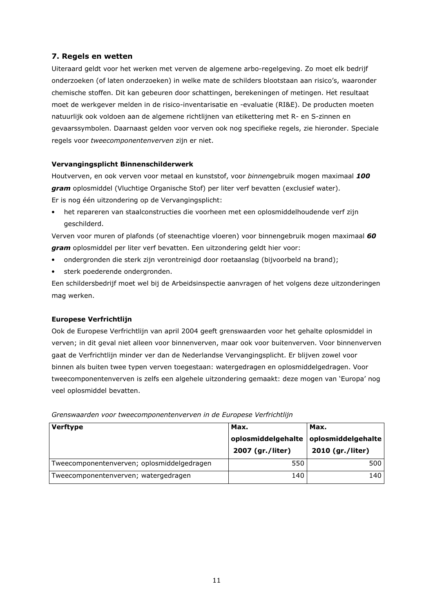## 7. Regels en wetten

Uiteraard geldt voor het werken met verven de algemene arbo-regelgeving. Zo moet elk bedrijf onderzoeken (of laten onderzoeken) in welke mate de schilders blootstaan aan risico's, waaronder chemische stoffen. Dit kan gebeuren door schattingen, berekeningen of metingen. Het resultaat moet de werkgever melden in de risico-inventarisatie en -evaluatie (RI&E). De producten moeten natuurlijk ook voldoen aan de algemene richtlijnen van etikettering met R- en S-zinnen en gevaarssymbolen. Daarnaast gelden voor verven ook nog specifieke regels, zie hieronder. Speciale regels voor tweecomponentenverven zijn er niet.

### Vervangingsplicht Binnenschilderwerk

Houtverven, en ook verven voor metaal en kunststof, voor binnengebruik mogen maximaal 100 gram oplosmiddel (Vluchtige Organische Stof) per liter verf bevatten (exclusief water). Er is nog één uitzondering op de Vervangingsplicht:

het repareren van staalconstructies die voorheen met een oplosmiddelhoudende verf zijn aeschilderd.

Verven voor muren of plafonds (of steenachtige vloeren) voor binnengebruik mogen maximaal 60 gram oplosmiddel per liter verf bevatten. Een uitzondering geldt hier voor:

- ondergronden die sterk zijn verontreinigd door roetaanslag (bijvoorbeld na brand);  $\bullet$
- sterk poederende ondergronden.

Een schildersbedrijf moet wel bij de Arbeidsinspectie aanvragen of het volgens deze uitzonderingen mag werken.

### **Europese Verfrichtlijn**

Ook de Europese Verfrichtlijn van april 2004 geeft grenswaarden voor het gehalte oplosmiddel in verven; in dit geval niet alleen voor binnenverven, maar ook voor buitenverven. Voor binnenverven gaat de Verfrichtlijn minder ver dan de Nederlandse Vervangingsplicht. Er blijven zowel voor binnen als buiten twee typen verven toegestaan: watergedragen en oplosmiddelgedragen. Voor tweecomponentenverven is zelfs een algehele uitzondering gemaakt: deze mogen van 'Europa' nog veel oplosmiddel bevatten.

| <b>Verftype</b>                            | Max.                                   | Max.                                   |  |
|--------------------------------------------|----------------------------------------|----------------------------------------|--|
|                                            | oplosmiddelgehalte<br>2007 (gr./liter) | oplosmiddelgehalte<br>2010 (gr./liter) |  |
| Tweecomponentenverven; oplosmiddelgedragen | 550                                    | 500 l                                  |  |
| Tweecomponentenverven; watergedragen       | 140                                    | 140                                    |  |

Grenswaarden voor tweecomponentenverven in de Europese Verfrichtlijn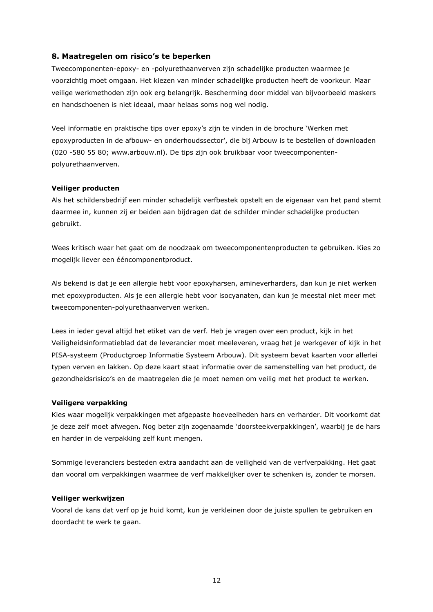### 8. Maatregelen om risico's te beperken

Tweecomponenten-epoxy- en -polyurethaanverven zijn schadelijke producten waarmee je voorzichtig moet omgaan. Het kiezen van minder schadelijke producten heeft de voorkeur. Maar veilige werkmethoden zijn ook erg belangrijk. Bescherming door middel van bijvoorbeeld maskers en handschoenen is niet ideaal, maar helaas soms nog wel nodig.

Veel informatie en praktische tips over epoxy's zijn te vinden in de brochure 'Werken met epoxyproducten in de afbouw- en onderhoudssector', die bij Arbouw is te bestellen of downloaden (020 -580 55 80; www.arbouw.nl). De tips zijn ook bruikbaar voor tweecomponentenpolyurethaanverven.

#### Veiliger producten

Als het schildersbedrijf een minder schadelijk verfbestek opstelt en de eigenaar van het pand stemt daarmee in, kunnen zij er beiden aan bijdragen dat de schilder minder schadelijke producten gebruikt.

Wees kritisch waar het gaat om de noodzaak om tweecomponentenproducten te gebruiken. Kies zo mogelijk liever een ééncomponentproduct.

Als bekend is dat je een allergie hebt voor epoxyharsen, amineverharders, dan kun je niet werken met epoxyproducten. Als je een allergie hebt voor isocyanaten, dan kun je meestal niet meer met tweecomponenten-polyurethaanverven werken.

Lees in jeder geval altijd het etiket van de verf. Heb je vragen over een product, kijk in het Veiligheidsinformatieblad dat de leverancier moet meeleveren, vraag het je werkgever of kijk in het PISA-systeem (Productgroep Informatie Systeem Arbouw). Dit systeem bevat kaarten voor allerlei typen verven en lakken. Op deze kaart staat informatie over de samenstelling van het product, de gezondheidsrisico's en de maatregelen die je moet nemen om veilig met het product te werken.

#### Veiligere verpakking

Kies waar mogelijk verpakkingen met afgepaste hoeveelheden hars en verharder. Dit voorkomt dat je deze zelf moet afwegen. Nog beter zijn zogenaamde 'doorsteekverpakkingen', waarbij je de hars en harder in de verpakking zelf kunt mengen.

Sommige leveranciers besteden extra aandacht aan de veiligheid van de verfverpakking. Het gaat dan vooral om verpakkingen waarmee de verf makkelijker over te schenken is, zonder te morsen.

#### Veiliger werkwijzen

Vooral de kans dat verf op je huid komt, kun je verkleinen door de juiste spullen te gebruiken en doordacht te werk te gaan.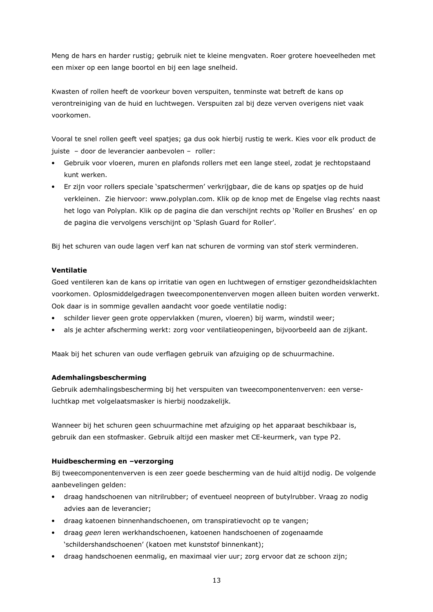Meng de hars en harder rustig; gebruik niet te kleine mengvaten. Roer grotere hoeveelheden met een mixer op een lange boortol en bij een lage snelheid.

Kwasten of rollen heeft de voorkeur boven verspuiten, tenminste wat betreft de kans op verontreiniging van de huid en luchtwegen. Verspuiten zal bij deze verven overigens niet vaak voorkomen

Vooral te snel rollen geeft veel spatjes; ga dus ook hierbij rustig te werk. Kies voor elk product de juiste - door de leverancier aanbevolen - roller:

- Gebruik voor vloeren, muren en plafonds rollers met een lange steel, zodat je rechtopstaand kunt werken.
- Er zijn voor rollers speciale 'spatschermen' verkrijgbaar, die de kans op spatjes op de huid verkleinen. Zie hiervoor: www.polyplan.com. Klik op de knop met de Engelse vlag rechts naast het logo van Polyplan. Klik op de pagina die dan verschijnt rechts op 'Roller en Brushes' en op de pagina die vervolgens verschijnt op 'Splash Guard for Roller'.

Bij het schuren van oude lagen verf kan nat schuren de vorming van stof sterk verminderen.

#### Ventilatie

Goed ventileren kan de kans op irritatie van ogen en luchtwegen of ernstiger gezondheidsklachten voorkomen. Oplosmiddelgedragen tweecomponentenverven mogen alleen buiten worden verwerkt. Ook daar is in sommige gevallen aandacht voor goede ventilatie nodig:

- schilder liever geen grote oppervlakken (muren, vloeren) bij warm, windstil weer;
- als je achter afscherming werkt: zorg voor ventilatieopeningen, bijvoorbeeld aan de zijkant.

Maak bij het schuren van oude verflagen gebruik van afzuiging op de schuurmachine.

### Ademhalingsbescherming

Gebruik ademhalingsbescherming bij het verspuiten van tweecomponentenverven; een verseluchtkap met volgelaatsmasker is hierbij noodzakelijk.

Wanneer bij het schuren geen schuurmachine met afzuiging op het apparaat beschikbaar is, gebruik dan een stofmasker. Gebruik altijd een masker met CE-keurmerk, van type P2.

### Huidbescherming en -verzorging

Bij tweecomponentenverven is een zeer goede bescherming van de huid altijd nodig. De volgende aanbevelingen gelden:

- draag handschoenen van nitrilrubber; of eventueel neopreen of butylrubber. Vraag zo nodig  $\bullet$ advies aan de leverancier;
- draag katoenen binnenhandschoenen, om transpiratievocht op te vangen;
- draag geen leren werkhandschoenen, katoenen handschoenen of zogenaamde 'schildershandschoenen' (katoen met kunststof binnenkant);
- draag handschoenen eenmalig, en maximaal vier uur; zorg ervoor dat ze schoon zijn;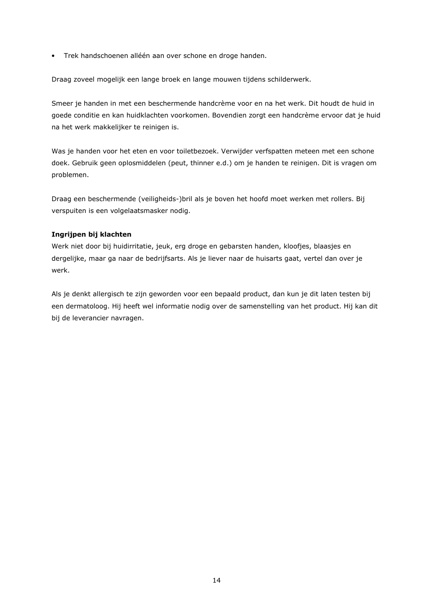· Trek handschoenen alléén aan over schone en droge handen.

Draag zoveel mogelijk een lange broek en lange mouwen tijdens schilderwerk.

Smeer je handen in met een beschermende handcrème voor en na het werk. Dit houdt de huid in goede conditie en kan huidklachten voorkomen. Bovendien zorgt een handcrème ervoor dat je huid na het werk makkelijker te reinigen is.

Was je handen voor het eten en voor toiletbezoek. Verwijder verfspatten meteen met een schone doek. Gebruik geen oplosmiddelen (peut, thinner e.d.) om je handen te reinigen. Dit is vragen om problemen.

Draag een beschermende (veiligheids-)bril als je boven het hoofd moet werken met rollers. Bij verspuiten is een volgelaatsmasker nodig.

### Ingrijpen bij klachten

Werk niet door bij huidirritatie, jeuk, erg droge en gebarsten handen, kloofjes, blaasjes en dergelijke, maar ga naar de bedrijfsarts. Als je liever naar de huisarts gaat, vertel dan over je werk.

Als je denkt allergisch te zijn geworden voor een bepaald product, dan kun je dit laten testen bij een dermatoloog. Hij heeft wel informatie nodig over de samenstelling van het product. Hij kan dit bij de leverancier navragen.